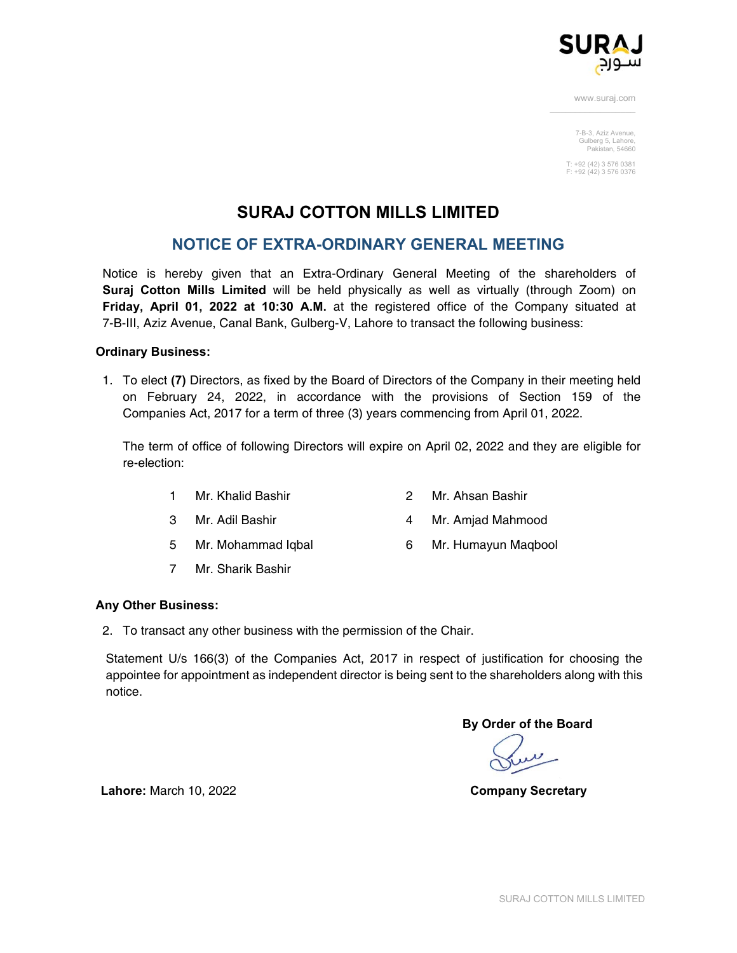

> 7-B-3, Aziz Avenue, Gulberg 5, Lahore, Pakistan, 54660

T: +92 (42) 3 576 0381 F: +92 (42) 3 576 0376

# **SURAJ COTTON MILLS LIMITED**

## **NOTICE OF EXTRA-ORDINARY GENERAL MEETING**

Notice is hereby given that an Extra-Ordinary General Meeting of the shareholders of **Suraj Cotton Mills Limited** will be held physically as well as virtually (through Zoom) on **Friday, April 01, 2022 at 10:30 A.M.** at the registered office of the Company situated at 7-B-III, Aziz Avenue, Canal Bank, Gulberg-V, Lahore to transact the following business:

## **Ordinary Business:**

1. To elect **(7)** Directors, as fixed by the Board of Directors of the Company in their meeting held on February 24, 2022, in accordance with the provisions of Section 159 of the Companies Act, 2017 for a term of three (3) years commencing from April 01, 2022.

The term of office of following Directors will expire on April 02, 2022 and they are eligible for re-election:

- 1 Mr. Khalid Bashir 2 Mr. Ahsan Bashir
- 3 Mr. Adil Bashir 4 Mr. Amjad Mahmood
- 5 Mr. Mohammad Iqbal 6 Mr. Humayun Maqbool
- 7 Mr. Sharik Bashir

## **Any Other Business:**

2. To transact any other business with the permission of the Chair.

Statement U/s 166(3) of the Companies Act, 2017 in respect of justification for choosing the appointee for appointment as independent director is being sent to the shareholders along with this notice.

**By Order of the Board** 

**Lahore:** March 10, 2022 **Company Secretary**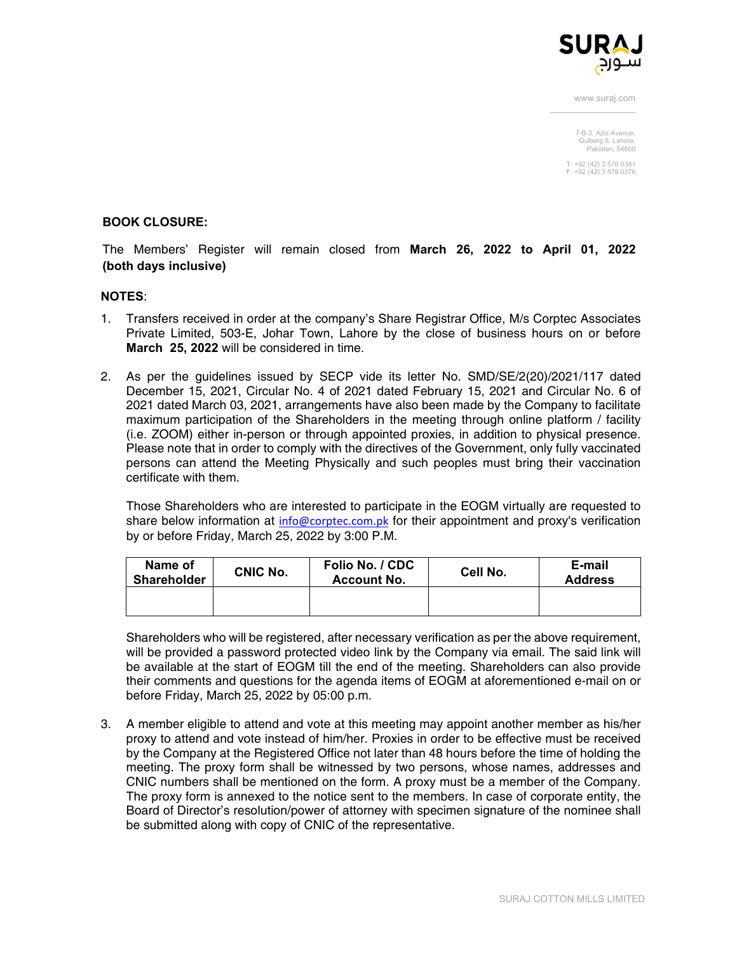

> 7-B-3, Aziz Avenue, Gulberg 5, Lahore, Pakistan, 54660

T: +92 (42) 3 576 0381 F: +92 (42) 3 576 0376

#### **BOOK CLOSURE:**

The Members' Register will remain closed from **March 26, 2022 to April 01, 2022 (both days inclusive)**

#### **NOTES**:

- 1. Transfers received in order at the company's Share Registrar Office, M/s Corptec Associates Private Limited, 503-E, Johar Town, Lahore by the close of business hours on or before **March 25, 2022** will be considered in time.
- 2. As per the guidelines issued by SECP vide its letter No. SMD/SE/2(20)/2021/117 dated December 15, 2021, Circular No. 4 of 2021 dated February 15, 2021 and Circular No. 6 of 2021 dated March 03, 2021, arrangements have also been made by the Company to facilitate maximum participation of the Shareholders in the meeting through online platform / facility (i.e. ZOOM) either in-person or through appointed proxies, in addition to physical presence. Please note that in order to comply with the directives of the Government, only fully vaccinated persons can attend the Meeting Physically and such peoples must bring their vaccination certificate with them.

Those Shareholders who are interested to participate in the EOGM virtually are requested to share below information at info@corptec.com.pk for their appointment and proxy's verification by or before Friday, March 25, 2022 by 3:00 P.M.

| Name of<br><b>Shareholder</b> | CNIC No. | Folio No. / CDC<br><b>Account No.</b> | Cell No. | E-mail<br><b>Address</b> |
|-------------------------------|----------|---------------------------------------|----------|--------------------------|
|                               |          |                                       |          |                          |

Shareholders who will be registered, after necessary verification as per the above requirement, will be provided a password protected video link by the Company via email. The said link will be available at the start of EOGM till the end of the meeting. Shareholders can also provide their comments and questions for the agenda items of EOGM at aforementioned e-mail on or before Friday, March 25, 2022 by 05:00 p.m.

3. A member eligible to attend and vote at this meeting may appoint another member as his/her proxy to attend and vote instead of him/her. Proxies in order to be effective must be received by the Company at the Registered Office not later than 48 hours before the time of holding the meeting. The proxy form shall be witnessed by two persons, whose names, addresses and CNIC numbers shall be mentioned on the form. A proxy must be a member of the Company. The proxy form is annexed to the notice sent to the members. In case of corporate entity, the Board of Director's resolution/power of attorney with specimen signature of the nominee shall be submitted along with copy of CNIC of the representative.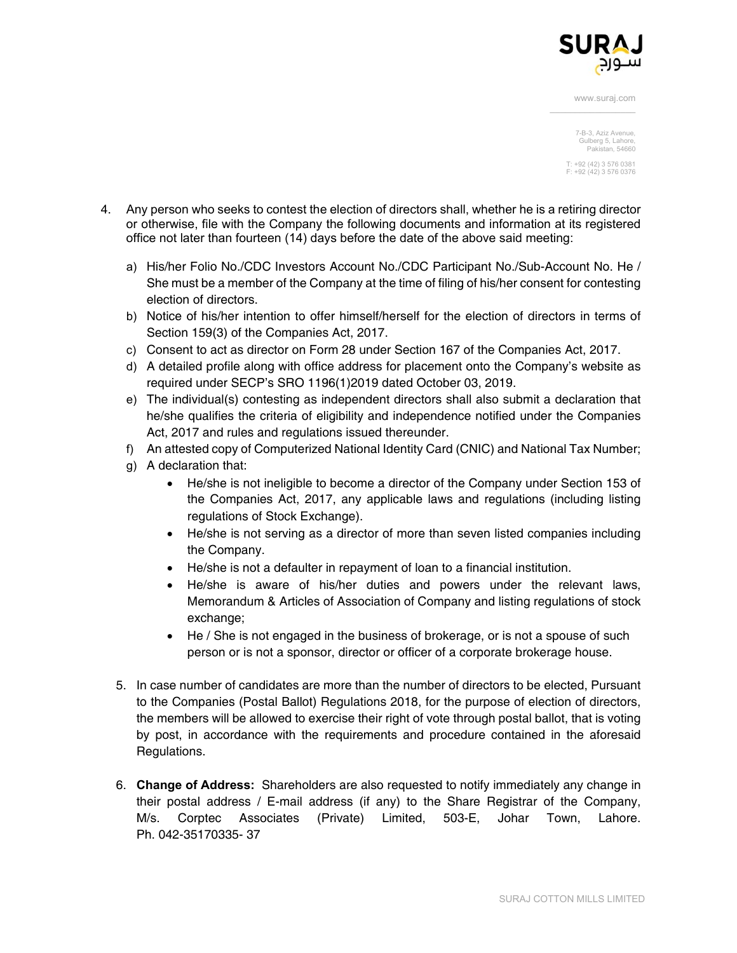

> 7-B-3, Aziz Avenue, Gulberg 5, Lahore, Pakistan, 54660

T: +92 (42) 3 576 0381 F: +92 (42) 3 576 0376

- 4. Any person who seeks to contest the election of directors shall, whether he is a retiring director or otherwise, file with the Company the following documents and information at its registered office not later than fourteen (14) days before the date of the above said meeting:
	- a) His/her Folio No./CDC Investors Account No./CDC Participant No./Sub-Account No. He / She must be a member of the Company at the time of filing of his/her consent for contesting election of directors.
	- b) Notice of his/her intention to offer himself/herself for the election of directors in terms of Section 159(3) of the Companies Act, 2017.
	- c) Consent to act as director on Form 28 under Section 167 of the Companies Act, 2017.
	- d) A detailed profile along with office address for placement onto the Company's website as required under SECP's SRO 1196(1)2019 dated October 03, 2019.
	- e) The individual(s) contesting as independent directors shall also submit a declaration that he/she qualifies the criteria of eligibility and independence notified under the Companies Act, 2017 and rules and regulations issued thereunder.
	- f) An attested copy of Computerized National Identity Card (CNIC) and National Tax Number;
	- g) A declaration that:
		- He/she is not ineligible to become a director of the Company under Section 153 of the Companies Act, 2017, any applicable laws and regulations (including listing regulations of Stock Exchange).
		- He/she is not serving as a director of more than seven listed companies including the Company.
		- He/she is not a defaulter in repayment of loan to a financial institution.
		- He/she is aware of his/her duties and powers under the relevant laws, Memorandum & Articles of Association of Company and listing regulations of stock exchange;
		- He / She is not engaged in the business of brokerage, or is not a spouse of such person or is not a sponsor, director or officer of a corporate brokerage house.
	- 5. In case number of candidates are more than the number of directors to be elected, Pursuant to the Companies (Postal Ballot) Regulations 2018, for the purpose of election of directors, the members will be allowed to exercise their right of vote through postal ballot, that is voting by post, in accordance with the requirements and procedure contained in the aforesaid Regulations.
	- 6. **Change of Address:** Shareholders are also requested to notify immediately any change in their postal address / E-mail address (if any) to the Share Registrar of the Company, M/s. Corptec Associates (Private) Limited, 503-E, Johar Town, Lahore. Ph. 042-35170335- 37